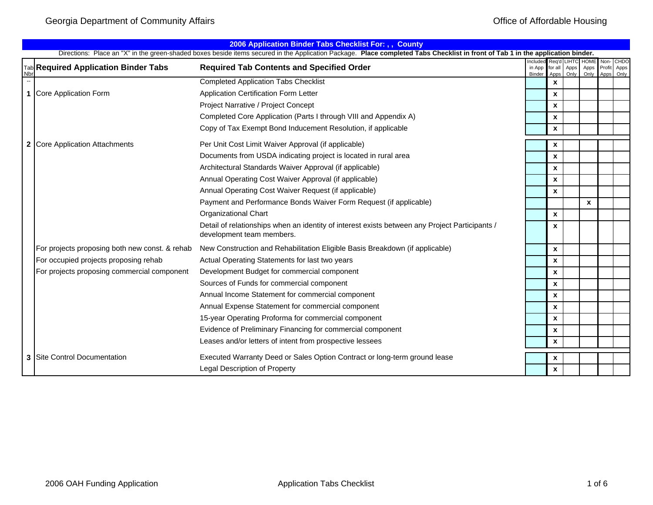|           | 2006 Application Binder Tabs Checklist For: , , County |                                                                                                                                                                                 |                              |                    |                             |                             |      |                                         |  |  |  |
|-----------|--------------------------------------------------------|---------------------------------------------------------------------------------------------------------------------------------------------------------------------------------|------------------------------|--------------------|-----------------------------|-----------------------------|------|-----------------------------------------|--|--|--|
|           |                                                        | Directions: Place an "X" in the green-shaded boxes beside items secured in the Application Package. Place completed Tabs Checklist in front of Tab 1 in the application binder. |                              |                    |                             |                             |      |                                         |  |  |  |
| <b>Nb</b> | Tab Required Application Binder Tabs                   | <b>Required Tab Contents and Specified Order</b>                                                                                                                                | Included<br>in App<br>Binder | for all<br>Apps    | Reg'd LIHTC<br>Apps<br>Only | <b>HOME</b><br>Apps<br>Only | Non- | <b>CHDO</b><br>Profit Apps<br>Apps Only |  |  |  |
| $\sim$    |                                                        | <b>Completed Application Tabs Checklist</b>                                                                                                                                     |                              | $\pmb{\chi}$       |                             |                             |      |                                         |  |  |  |
|           | 1 Core Application Form                                | Application Certification Form Letter                                                                                                                                           |                              | $\pmb{\chi}$       |                             |                             |      |                                         |  |  |  |
|           |                                                        | Project Narrative / Project Concept                                                                                                                                             |                              | $\mathbf{x}$       |                             |                             |      |                                         |  |  |  |
|           |                                                        | Completed Core Application (Parts I through VIII and Appendix A)                                                                                                                |                              | $\pmb{\mathsf{x}}$ |                             |                             |      |                                         |  |  |  |
|           |                                                        | Copy of Tax Exempt Bond Inducement Resolution, if applicable                                                                                                                    |                              | $\pmb{\chi}$       |                             |                             |      |                                         |  |  |  |
|           | 2 Core Application Attachments                         | Per Unit Cost Limit Waiver Approval (if applicable)                                                                                                                             |                              | X                  |                             |                             |      |                                         |  |  |  |
|           |                                                        | Documents from USDA indicating project is located in rural area                                                                                                                 |                              | $\pmb{\chi}$       |                             |                             |      |                                         |  |  |  |
|           |                                                        | Architectural Standards Waiver Approval (if applicable)                                                                                                                         |                              | $\pmb{\chi}$       |                             |                             |      |                                         |  |  |  |
|           |                                                        | Annual Operating Cost Waiver Approval (if applicable)                                                                                                                           |                              | $\pmb{\chi}$       |                             |                             |      |                                         |  |  |  |
|           |                                                        | Annual Operating Cost Waiver Request (if applicable)                                                                                                                            |                              | $\pmb{\chi}$       |                             |                             |      |                                         |  |  |  |
|           |                                                        | Payment and Performance Bonds Waiver Form Request (if applicable)                                                                                                               |                              |                    |                             | $\pmb{\chi}$                |      |                                         |  |  |  |
|           |                                                        | <b>Organizational Chart</b>                                                                                                                                                     |                              | $\mathbf{x}$       |                             |                             |      |                                         |  |  |  |
|           |                                                        | Detail of relationships when an identity of interest exists between any Project Participants /<br>development team members.                                                     |                              | $\boldsymbol{x}$   |                             |                             |      |                                         |  |  |  |
|           | For projects proposing both new const. & rehab         | New Construction and Rehabilitation Eligible Basis Breakdown (if applicable)                                                                                                    |                              | $\mathbf{x}$       |                             |                             |      |                                         |  |  |  |
|           | For occupied projects proposing rehab                  | Actual Operating Statements for last two years                                                                                                                                  |                              | $\pmb{\chi}$       |                             |                             |      |                                         |  |  |  |
|           | For projects proposing commercial component            | Development Budget for commercial component                                                                                                                                     |                              | $\pmb{\mathsf{x}}$ |                             |                             |      |                                         |  |  |  |
|           |                                                        | Sources of Funds for commercial component                                                                                                                                       |                              | $\mathbf{x}$       |                             |                             |      |                                         |  |  |  |
|           |                                                        | Annual Income Statement for commercial component                                                                                                                                |                              | $\boldsymbol{x}$   |                             |                             |      |                                         |  |  |  |
|           |                                                        | Annual Expense Statement for commercial component                                                                                                                               |                              | $\mathbf{x}$       |                             |                             |      |                                         |  |  |  |
|           |                                                        | 15-year Operating Proforma for commercial component                                                                                                                             |                              | $\pmb{\mathsf{x}}$ |                             |                             |      |                                         |  |  |  |
|           |                                                        | Evidence of Preliminary Financing for commercial component                                                                                                                      |                              | $\pmb{\mathsf{x}}$ |                             |                             |      |                                         |  |  |  |
|           |                                                        | Leases and/or letters of intent from prospective lessees                                                                                                                        |                              | $\pmb{\mathsf{x}}$ |                             |                             |      |                                         |  |  |  |
|           | <b>3 Site Control Documentation</b>                    | Executed Warranty Deed or Sales Option Contract or long-term ground lease                                                                                                       |                              | $\pmb{\chi}$       |                             |                             |      |                                         |  |  |  |
|           |                                                        | Legal Description of Property                                                                                                                                                   |                              | $\pmb{\mathsf{x}}$ |                             |                             |      |                                         |  |  |  |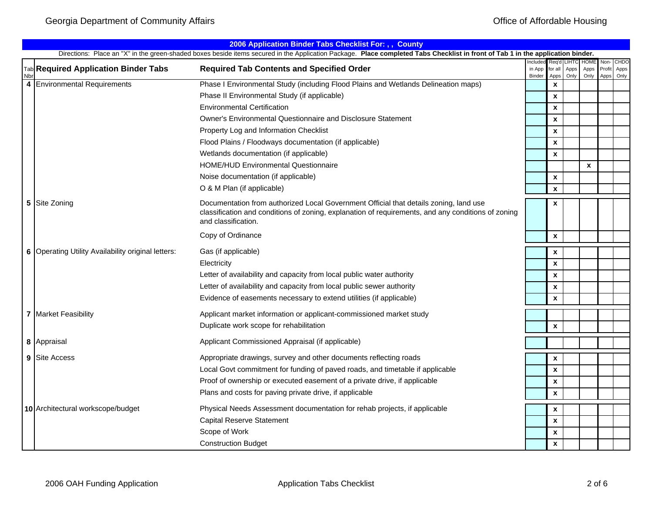|    | 2006 Application Binder Tabs Checklist For: , , County                                                                                                                          |                                                                                                                                                                                                                    |                             |                          |                              |                             |                        |                      |  |  |  |
|----|---------------------------------------------------------------------------------------------------------------------------------------------------------------------------------|--------------------------------------------------------------------------------------------------------------------------------------------------------------------------------------------------------------------|-----------------------------|--------------------------|------------------------------|-----------------------------|------------------------|----------------------|--|--|--|
|    | Directions: Place an "X" in the green-shaded boxes beside items secured in the Application Package. Place completed Tabs Checklist in front of Tab 1 in the application binder. |                                                                                                                                                                                                                    |                             |                          |                              |                             |                        |                      |  |  |  |
| Nb | Tab Required Application Binder Tabs                                                                                                                                            | <b>Required Tab Contents and Specified Order</b>                                                                                                                                                                   | Include<br>in App<br>Binder | Rea'd<br>for all<br>Apps | <b>LIHTC</b><br>Apps<br>Only | <b>HOME</b><br>Apps<br>Only | Non-<br>Profit<br>Apps | CHDO<br>Apps<br>Only |  |  |  |
| 4  | <b>Environmental Requirements</b>                                                                                                                                               | Phase I Environmental Study (including Flood Plains and Wetlands Delineation maps)                                                                                                                                 |                             | $\mathbf{x}$             |                              |                             |                        |                      |  |  |  |
|    |                                                                                                                                                                                 | Phase II Environmental Study (if applicable)                                                                                                                                                                       |                             | $\pmb{\mathsf{x}}$       |                              |                             |                        |                      |  |  |  |
|    |                                                                                                                                                                                 | <b>Environmental Certification</b>                                                                                                                                                                                 |                             | $\pmb{\mathsf{x}}$       |                              |                             |                        |                      |  |  |  |
|    |                                                                                                                                                                                 | Owner's Environmental Questionnaire and Disclosure Statement                                                                                                                                                       |                             | $\mathbf{x}$             |                              |                             |                        |                      |  |  |  |
|    |                                                                                                                                                                                 | Property Log and Information Checklist                                                                                                                                                                             |                             | $\boldsymbol{x}$         |                              |                             |                        |                      |  |  |  |
|    |                                                                                                                                                                                 | Flood Plains / Floodways documentation (if applicable)                                                                                                                                                             |                             | X                        |                              |                             |                        |                      |  |  |  |
|    |                                                                                                                                                                                 | Wetlands documentation (if applicable)                                                                                                                                                                             |                             | $\pmb{\mathsf{x}}$       |                              |                             |                        |                      |  |  |  |
|    |                                                                                                                                                                                 | HOME/HUD Environmental Questionnaire                                                                                                                                                                               |                             |                          |                              | $\boldsymbol{x}$            |                        |                      |  |  |  |
|    |                                                                                                                                                                                 | Noise documentation (if applicable)                                                                                                                                                                                |                             | $\mathbf{x}$             |                              |                             |                        |                      |  |  |  |
|    |                                                                                                                                                                                 | O & M Plan (if applicable)                                                                                                                                                                                         |                             | $\pmb{\mathsf{x}}$       |                              |                             |                        |                      |  |  |  |
| 5  | Site Zoning                                                                                                                                                                     | Documentation from authorized Local Government Official that details zoning, land use<br>classification and conditions of zoning, explanation of requirements, and any conditions of zoning<br>and classification. |                             | $\pmb{\mathsf{x}}$       |                              |                             |                        |                      |  |  |  |
|    |                                                                                                                                                                                 | Copy of Ordinance                                                                                                                                                                                                  |                             | $\pmb{\mathsf{x}}$       |                              |                             |                        |                      |  |  |  |
|    | 6 Operating Utility Availability original letters:                                                                                                                              | Gas (if applicable)                                                                                                                                                                                                |                             | X                        |                              |                             |                        |                      |  |  |  |
|    |                                                                                                                                                                                 | Electricity                                                                                                                                                                                                        |                             | $\pmb{\mathsf{x}}$       |                              |                             |                        |                      |  |  |  |
|    |                                                                                                                                                                                 | Letter of availability and capacity from local public water authority                                                                                                                                              |                             | X                        |                              |                             |                        |                      |  |  |  |
|    |                                                                                                                                                                                 | Letter of availability and capacity from local public sewer authority                                                                                                                                              |                             | $\pmb{\mathsf{x}}$       |                              |                             |                        |                      |  |  |  |
|    |                                                                                                                                                                                 | Evidence of easements necessary to extend utilities (if applicable)                                                                                                                                                |                             | $\pmb{\mathsf{x}}$       |                              |                             |                        |                      |  |  |  |
|    | <b>7</b> Market Feasibility                                                                                                                                                     | Applicant market information or applicant-commissioned market study                                                                                                                                                |                             |                          |                              |                             |                        |                      |  |  |  |
|    |                                                                                                                                                                                 | Duplicate work scope for rehabilitation                                                                                                                                                                            |                             | $\pmb{\mathsf{x}}$       |                              |                             |                        |                      |  |  |  |
|    |                                                                                                                                                                                 |                                                                                                                                                                                                                    |                             |                          |                              |                             |                        |                      |  |  |  |
|    | 8 Appraisal                                                                                                                                                                     | Applicant Commissioned Appraisal (if applicable)                                                                                                                                                                   |                             |                          |                              |                             |                        |                      |  |  |  |
|    | 9 Site Access                                                                                                                                                                   | Appropriate drawings, survey and other documents reflecting roads                                                                                                                                                  |                             | X                        |                              |                             |                        |                      |  |  |  |
|    |                                                                                                                                                                                 | Local Govt commitment for funding of paved roads, and timetable if applicable                                                                                                                                      |                             | $\pmb{\mathsf{x}}$       |                              |                             |                        |                      |  |  |  |
|    |                                                                                                                                                                                 | Proof of ownership or executed easement of a private drive, if applicable                                                                                                                                          |                             | $\mathbf{x}$             |                              |                             |                        |                      |  |  |  |
|    |                                                                                                                                                                                 | Plans and costs for paving private drive, if applicable                                                                                                                                                            |                             | $\pmb{\chi}$             |                              |                             |                        |                      |  |  |  |
|    | 10 Architectural workscope/budget                                                                                                                                               | Physical Needs Assessment documentation for rehab projects, if applicable                                                                                                                                          |                             | $\pmb{\mathsf{x}}$       |                              |                             |                        |                      |  |  |  |
|    |                                                                                                                                                                                 | <b>Capital Reserve Statement</b>                                                                                                                                                                                   |                             | $\pmb{\chi}$             |                              |                             |                        |                      |  |  |  |
|    |                                                                                                                                                                                 | Scope of Work                                                                                                                                                                                                      |                             | $\pmb{\mathsf{x}}$       |                              |                             |                        |                      |  |  |  |
|    |                                                                                                                                                                                 | <b>Construction Budget</b>                                                                                                                                                                                         |                             | $\mathbf{x}$             |                              |                             |                        |                      |  |  |  |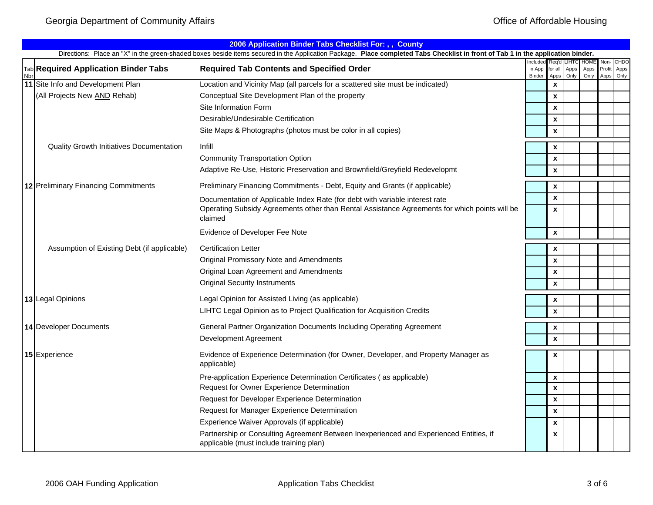|            | 2006 Application Binder Tabs Checklist For: , , County                                                                                                                                         |                                                                                                                                   |                             |                           |              |                             |                        |                      |  |  |  |  |
|------------|------------------------------------------------------------------------------------------------------------------------------------------------------------------------------------------------|-----------------------------------------------------------------------------------------------------------------------------------|-----------------------------|---------------------------|--------------|-----------------------------|------------------------|----------------------|--|--|--|--|
|            | Directions: Place an "X" in the green-shaded boxes beside items secured in the Application Package. Place completed Tabs Checklist in front of Tab 1 in the application binder.<br>Reg'd LIHTC |                                                                                                                                   |                             |                           |              |                             |                        |                      |  |  |  |  |
| <b>Nbr</b> | <b>Tab</b> Required Application Binder Tabs                                                                                                                                                    | <b>Required Tab Contents and Specified Order</b>                                                                                  | ncludec<br>in App<br>Binder | for all<br>Apps           | Apps<br>Only | <b>HOME</b><br>Apps<br>Only | Non-<br>Profit<br>Apps | CHDO<br>Apps<br>Only |  |  |  |  |
|            | 11 Site Info and Development Plan                                                                                                                                                              | Location and Vicinity Map (all parcels for a scattered site must be indicated)                                                    |                             | $\boldsymbol{x}$          |              |                             |                        |                      |  |  |  |  |
|            | (All Projects New AND Rehab)                                                                                                                                                                   | Conceptual Site Development Plan of the property                                                                                  |                             | $\boldsymbol{x}$          |              |                             |                        |                      |  |  |  |  |
|            |                                                                                                                                                                                                | Site Information Form                                                                                                             |                             | $\boldsymbol{x}$          |              |                             |                        |                      |  |  |  |  |
|            |                                                                                                                                                                                                | Desirable/Undesirable Certification                                                                                               |                             | $\boldsymbol{\mathsf{x}}$ |              |                             |                        |                      |  |  |  |  |
|            |                                                                                                                                                                                                | Site Maps & Photographs (photos must be color in all copies)                                                                      |                             | $\boldsymbol{x}$          |              |                             |                        |                      |  |  |  |  |
|            | <b>Quality Growth Initiatives Documentation</b>                                                                                                                                                | Infill                                                                                                                            |                             | $\pmb{\mathsf{x}}$        |              |                             |                        |                      |  |  |  |  |
|            |                                                                                                                                                                                                | <b>Community Transportation Option</b>                                                                                            |                             | $\boldsymbol{\mathsf{x}}$ |              |                             |                        |                      |  |  |  |  |
|            |                                                                                                                                                                                                | Adaptive Re-Use, Historic Preservation and Brownfield/Greyfield Redevelopmt                                                       |                             | $\boldsymbol{x}$          |              |                             |                        |                      |  |  |  |  |
|            | 12 Preliminary Financing Commitments                                                                                                                                                           | Preliminary Financing Commitments - Debt, Equity and Grants (if applicable)                                                       |                             | $\boldsymbol{\mathsf{x}}$ |              |                             |                        |                      |  |  |  |  |
|            |                                                                                                                                                                                                | Documentation of Applicable Index Rate (for debt with variable interest rate                                                      |                             | $\boldsymbol{\mathsf{x}}$ |              |                             |                        |                      |  |  |  |  |
|            |                                                                                                                                                                                                | Operating Subsidy Agreements other than Rental Assistance Agreements for which points will be<br>claimed                          |                             | $\boldsymbol{\mathsf{x}}$ |              |                             |                        |                      |  |  |  |  |
|            |                                                                                                                                                                                                | Evidence of Developer Fee Note                                                                                                    |                             | $\pmb{\chi}$              |              |                             |                        |                      |  |  |  |  |
|            | Assumption of Existing Debt (if applicable)                                                                                                                                                    | <b>Certification Letter</b>                                                                                                       |                             | $\boldsymbol{\mathsf{x}}$ |              |                             |                        |                      |  |  |  |  |
|            |                                                                                                                                                                                                | Original Promissory Note and Amendments                                                                                           |                             | $\boldsymbol{\mathsf{x}}$ |              |                             |                        |                      |  |  |  |  |
|            |                                                                                                                                                                                                | Original Loan Agreement and Amendments                                                                                            |                             | $\boldsymbol{\mathsf{x}}$ |              |                             |                        |                      |  |  |  |  |
|            |                                                                                                                                                                                                | <b>Original Security Instruments</b>                                                                                              |                             | $\boldsymbol{\mathsf{x}}$ |              |                             |                        |                      |  |  |  |  |
|            | 13 Legal Opinions                                                                                                                                                                              | Legal Opinion for Assisted Living (as applicable)                                                                                 |                             | $\pmb{\chi}$              |              |                             |                        |                      |  |  |  |  |
|            |                                                                                                                                                                                                | LIHTC Legal Opinion as to Project Qualification for Acquisition Credits                                                           |                             | $\mathbf{x}$              |              |                             |                        |                      |  |  |  |  |
|            | 14 Developer Documents                                                                                                                                                                         | General Partner Organization Documents Including Operating Agreement                                                              |                             | $\pmb{\chi}$              |              |                             |                        |                      |  |  |  |  |
|            |                                                                                                                                                                                                | Development Agreement                                                                                                             |                             | $\pmb{\chi}$              |              |                             |                        |                      |  |  |  |  |
|            | 15 Experience                                                                                                                                                                                  | Evidence of Experience Determination (for Owner, Developer, and Property Manager as<br>applicable)                                |                             | $\boldsymbol{\mathsf{x}}$ |              |                             |                        |                      |  |  |  |  |
|            |                                                                                                                                                                                                | Pre-application Experience Determination Certificates (as applicable)                                                             |                             | $\boldsymbol{\mathsf{x}}$ |              |                             |                        |                      |  |  |  |  |
|            |                                                                                                                                                                                                | Request for Owner Experience Determination                                                                                        |                             | $\boldsymbol{\mathsf{x}}$ |              |                             |                        |                      |  |  |  |  |
|            |                                                                                                                                                                                                | Request for Developer Experience Determination                                                                                    |                             | $\boldsymbol{\mathsf{x}}$ |              |                             |                        |                      |  |  |  |  |
|            |                                                                                                                                                                                                | Request for Manager Experience Determination                                                                                      |                             | $\boldsymbol{\mathsf{x}}$ |              |                             |                        |                      |  |  |  |  |
|            |                                                                                                                                                                                                | Experience Waiver Approvals (if applicable)                                                                                       |                             | $\boldsymbol{\mathsf{x}}$ |              |                             |                        |                      |  |  |  |  |
|            |                                                                                                                                                                                                | Partnership or Consulting Agreement Between Inexperienced and Experienced Entities, if<br>applicable (must include training plan) |                             | $\boldsymbol{\mathsf{x}}$ |              |                             |                        |                      |  |  |  |  |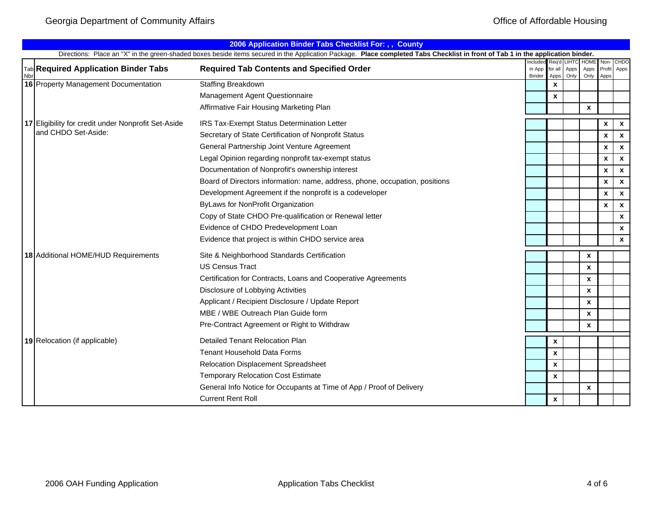|     | 2006 Application Binder Tabs Checklist For: , , County                                                                                                                                                                       |                                                                             |        |                           |              |                  |                    |                           |  |  |  |
|-----|------------------------------------------------------------------------------------------------------------------------------------------------------------------------------------------------------------------------------|-----------------------------------------------------------------------------|--------|---------------------------|--------------|------------------|--------------------|---------------------------|--|--|--|
|     | Directions: Place an "X" in the green-shaded boxes beside items secured in the Application Package. Place completed Tabs Checklist in front of Tab 1 in the application binder.<br>Req'd LIHTC HOME Non-<br>CHDO<br>Included |                                                                             |        |                           |              |                  |                    |                           |  |  |  |
| Nbr | <b>Tab</b> Required Application Binder Tabs                                                                                                                                                                                  | <b>Required Tab Contents and Specified Order</b>                            | Binder | in App for all<br>Apps    | Apps<br>Only | Apps<br>Only     | Apps               | Profit Apps               |  |  |  |
|     | 16 Property Management Documentation                                                                                                                                                                                         | Staffing Breakdown                                                          |        | $\mathbf{x}$              |              |                  |                    |                           |  |  |  |
|     |                                                                                                                                                                                                                              | Management Agent Questionnaire                                              |        | $\boldsymbol{\mathsf{x}}$ |              |                  |                    |                           |  |  |  |
|     |                                                                                                                                                                                                                              | Affirmative Fair Housing Marketing Plan                                     |        |                           |              | $\mathbf{x}$     |                    |                           |  |  |  |
|     | 17 Eligibility for credit under Nonprofit Set-Aside                                                                                                                                                                          | IRS Tax-Exempt Status Determination Letter                                  |        |                           |              |                  | $\pmb{\mathsf{x}}$ | $\boldsymbol{\mathsf{x}}$ |  |  |  |
|     | and CHDO Set-Aside:                                                                                                                                                                                                          | Secretary of State Certification of Nonprofit Status                        |        |                           |              |                  | $\pmb{\mathsf{x}}$ | $\boldsymbol{\mathsf{x}}$ |  |  |  |
|     |                                                                                                                                                                                                                              | General Partnership Joint Venture Agreement                                 |        |                           |              |                  | $\pmb{\mathsf{x}}$ | $\boldsymbol{\mathsf{x}}$ |  |  |  |
|     |                                                                                                                                                                                                                              | Legal Opinion regarding nonprofit tax-exempt status                         |        |                           |              |                  | $\pmb{\mathsf{x}}$ | $\boldsymbol{\mathsf{x}}$ |  |  |  |
|     |                                                                                                                                                                                                                              | Documentation of Nonprofit's ownership interest                             |        |                           |              |                  | $\pmb{\mathsf{x}}$ | $\boldsymbol{\mathsf{x}}$ |  |  |  |
|     |                                                                                                                                                                                                                              | Board of Directors information: name, address, phone, occupation, positions |        |                           |              |                  | $\mathbf{x}$       | $\mathbf{x}$              |  |  |  |
|     |                                                                                                                                                                                                                              | Development Agreement if the nonprofit is a codeveloper                     |        |                           |              |                  | $\pmb{\mathsf{x}}$ | $\boldsymbol{\mathsf{x}}$ |  |  |  |
|     |                                                                                                                                                                                                                              | ByLaws for NonProfit Organization                                           |        |                           |              |                  | $\mathbf{x}$       | $\boldsymbol{\mathsf{x}}$ |  |  |  |
|     |                                                                                                                                                                                                                              | Copy of State CHDO Pre-qualification or Renewal letter                      |        |                           |              |                  |                    | $\pmb{\chi}$              |  |  |  |
|     |                                                                                                                                                                                                                              | Evidence of CHDO Predevelopment Loan                                        |        |                           |              |                  |                    | $\mathbf{x}$              |  |  |  |
|     |                                                                                                                                                                                                                              | Evidence that project is within CHDO service area                           |        |                           |              |                  |                    | $\pmb{\chi}$              |  |  |  |
|     | 18 Additional HOME/HUD Requirements                                                                                                                                                                                          | Site & Neighborhood Standards Certification                                 |        |                           |              | X                |                    |                           |  |  |  |
|     |                                                                                                                                                                                                                              | <b>US Census Tract</b>                                                      |        |                           |              | $\boldsymbol{x}$ |                    |                           |  |  |  |
|     |                                                                                                                                                                                                                              | Certification for Contracts, Loans and Cooperative Agreements               |        |                           |              | X                |                    |                           |  |  |  |
|     |                                                                                                                                                                                                                              | Disclosure of Lobbying Activities                                           |        |                           |              | $\boldsymbol{x}$ |                    |                           |  |  |  |
|     |                                                                                                                                                                                                                              | Applicant / Recipient Disclosure / Update Report                            |        |                           |              | X                |                    |                           |  |  |  |
|     |                                                                                                                                                                                                                              | MBE / WBE Outreach Plan Guide form                                          |        |                           |              | $\mathbf{x}$     |                    |                           |  |  |  |
|     |                                                                                                                                                                                                                              | Pre-Contract Agreement or Right to Withdraw                                 |        |                           |              | $\mathbf x$      |                    |                           |  |  |  |
|     | 19 Relocation (if applicable)                                                                                                                                                                                                | Detailed Tenant Relocation Plan                                             |        | X                         |              |                  |                    |                           |  |  |  |
|     |                                                                                                                                                                                                                              | <b>Tenant Household Data Forms</b>                                          |        | $\boldsymbol{x}$          |              |                  |                    |                           |  |  |  |
|     |                                                                                                                                                                                                                              | Relocation Displacement Spreadsheet                                         |        | $\mathbf{x}$              |              |                  |                    |                           |  |  |  |
|     |                                                                                                                                                                                                                              | <b>Temporary Relocation Cost Estimate</b>                                   |        | $\boldsymbol{\mathsf{x}}$ |              |                  |                    |                           |  |  |  |
|     |                                                                                                                                                                                                                              | General Info Notice for Occupants at Time of App / Proof of Delivery        |        |                           |              | X                |                    |                           |  |  |  |
|     |                                                                                                                                                                                                                              | <b>Current Rent Roll</b>                                                    |        | $\boldsymbol{x}$          |              |                  |                    |                           |  |  |  |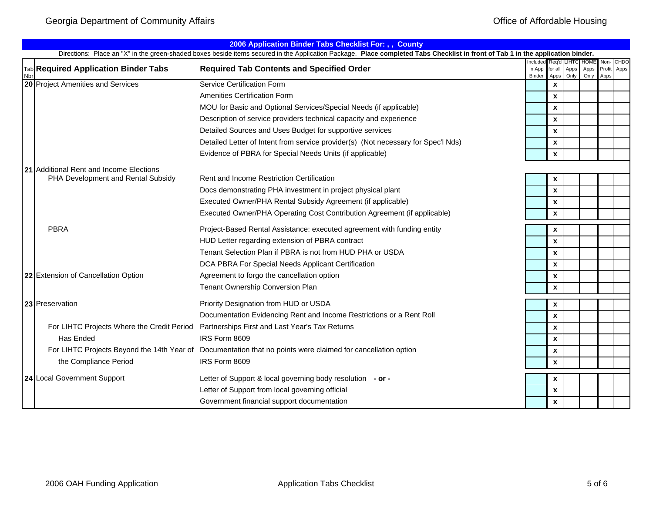|    | 2006 Application Binder Tabs Checklist For: , , County |                                                                                                                                                                                 |                                           |                    |                       |                             |              |                     |  |  |  |
|----|--------------------------------------------------------|---------------------------------------------------------------------------------------------------------------------------------------------------------------------------------|-------------------------------------------|--------------------|-----------------------|-----------------------------|--------------|---------------------|--|--|--|
|    |                                                        | Directions: Place an "X" in the green-shaded boxes beside items secured in the Application Package. Place completed Tabs Checklist in front of Tab 1 in the application binder. |                                           |                    |                       |                             |              |                     |  |  |  |
| Nb | Tab Required Application Binder Tabs                   | <b>Required Tab Contents and Specified Order</b>                                                                                                                                | ncluded Reg'd<br>in App for all<br>Binder | Apps               | LIHTC<br>Apps<br>Only | <b>HOME</b><br>Apps<br>Only | Non-<br>Apps | CHDO<br>Profit Apps |  |  |  |
|    | 20 Project Amenities and Services                      | <b>Service Certification Form</b>                                                                                                                                               |                                           | $\pmb{\mathsf{x}}$ |                       |                             |              |                     |  |  |  |
|    |                                                        | Amenities Certification Form                                                                                                                                                    |                                           | $\mathbf{x}$       |                       |                             |              |                     |  |  |  |
|    |                                                        | MOU for Basic and Optional Services/Special Needs (if applicable)                                                                                                               |                                           | X                  |                       |                             |              |                     |  |  |  |
|    |                                                        | Description of service providers technical capacity and experience                                                                                                              |                                           | $\pmb{\mathsf{x}}$ |                       |                             |              |                     |  |  |  |
|    |                                                        | Detailed Sources and Uses Budget for supportive services                                                                                                                        |                                           | $\mathbf{x}$       |                       |                             |              |                     |  |  |  |
|    |                                                        | Detailed Letter of Intent from service provider(s) (Not necessary for Spec'l Nds)                                                                                               |                                           | X                  |                       |                             |              |                     |  |  |  |
|    |                                                        | Evidence of PBRA for Special Needs Units (if applicable)                                                                                                                        |                                           | $\mathbf{x}$       |                       |                             |              |                     |  |  |  |
|    | 21 Additional Rent and Income Elections                |                                                                                                                                                                                 |                                           |                    |                       |                             |              |                     |  |  |  |
|    | PHA Development and Rental Subsidy                     | Rent and Income Restriction Certification                                                                                                                                       |                                           | X                  |                       |                             |              |                     |  |  |  |
|    |                                                        | Docs demonstrating PHA investment in project physical plant                                                                                                                     |                                           | $\mathbf{x}$       |                       |                             |              |                     |  |  |  |
|    |                                                        | Executed Owner/PHA Rental Subsidy Agreement (if applicable)                                                                                                                     |                                           | $\mathbf{x}$       |                       |                             |              |                     |  |  |  |
|    |                                                        | Executed Owner/PHA Operating Cost Contribution Agreement (if applicable)                                                                                                        |                                           | $\pmb{\mathsf{x}}$ |                       |                             |              |                     |  |  |  |
|    | <b>PBRA</b>                                            | Project-Based Rental Assistance: executed agreement with funding entity                                                                                                         |                                           | X                  |                       |                             |              |                     |  |  |  |
|    |                                                        | HUD Letter regarding extension of PBRA contract                                                                                                                                 |                                           | X                  |                       |                             |              |                     |  |  |  |
|    |                                                        | Tenant Selection Plan if PBRA is not from HUD PHA or USDA                                                                                                                       |                                           | $\mathbf{x}$       |                       |                             |              |                     |  |  |  |
|    |                                                        | DCA PBRA For Special Needs Applicant Certification                                                                                                                              |                                           | $\pmb{\mathsf{x}}$ |                       |                             |              |                     |  |  |  |
|    | 22 Extension of Cancellation Option                    | Agreement to forgo the cancellation option                                                                                                                                      |                                           | $\pmb{\mathsf{x}}$ |                       |                             |              |                     |  |  |  |
|    |                                                        | Tenant Ownership Conversion Plan                                                                                                                                                |                                           | $\pmb{\mathsf{x}}$ |                       |                             |              |                     |  |  |  |
|    | 23 Preservation                                        | Priority Designation from HUD or USDA                                                                                                                                           |                                           | X                  |                       |                             |              |                     |  |  |  |
|    |                                                        | Documentation Evidencing Rent and Income Restrictions or a Rent Roll                                                                                                            |                                           | $\pmb{\mathsf{x}}$ |                       |                             |              |                     |  |  |  |
|    | For LIHTC Projects Where the Credit Period             | Partnerships First and Last Year's Tax Returns                                                                                                                                  |                                           | $\pmb{\mathsf{x}}$ |                       |                             |              |                     |  |  |  |
|    | Has Ended                                              | IRS Form 8609                                                                                                                                                                   |                                           | X                  |                       |                             |              |                     |  |  |  |
|    |                                                        | For LIHTC Projects Beyond the 14th Year of Documentation that no points were claimed for cancellation option                                                                    |                                           | $\pmb{\mathsf{x}}$ |                       |                             |              |                     |  |  |  |
|    | the Compliance Period                                  | IRS Form 8609                                                                                                                                                                   |                                           | $\mathbf{x}$       |                       |                             |              |                     |  |  |  |
|    | 24 Local Government Support                            | Letter of Support & local governing body resolution - or -                                                                                                                      |                                           | X                  |                       |                             |              |                     |  |  |  |
|    |                                                        | Letter of Support from local governing official                                                                                                                                 |                                           | $\pmb{\mathsf{x}}$ |                       |                             |              |                     |  |  |  |
|    |                                                        | Government financial support documentation                                                                                                                                      |                                           | $\pmb{\mathsf{x}}$ |                       |                             |              |                     |  |  |  |